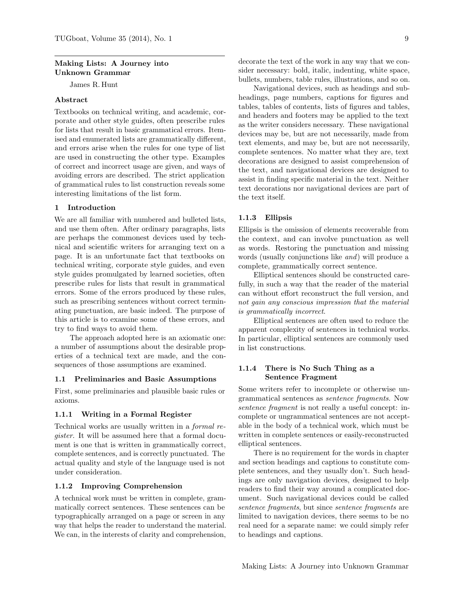### Making Lists: A Journey into Unknown Grammar

James R. Hunt

# Abstract

Textbooks on technical writing, and academic, corporate and other style guides, often prescribe rules for lists that result in basic grammatical errors. Itemised and enumerated lists are grammatically different, and errors arise when the rules for one type of list are used in constructing the other type. Examples of correct and incorrect usage are given, and ways of avoiding errors are described. The strict application of grammatical rules to list construction reveals some interesting limitations of the list form.

# 1 Introduction

We are all familiar with numbered and bulleted lists, and use them often. After ordinary paragraphs, lists are perhaps the commonest devices used by technical and scientific writers for arranging text on a page. It is an unfortunate fact that textbooks on technical writing, corporate style guides, and even style guides promulgated by learned societies, often prescribe rules for lists that result in grammatical errors. Some of the errors produced by these rules, such as prescribing sentences without correct terminating punctuation, are basic indeed. The purpose of this article is to examine some of these errors, and try to find ways to avoid them.

The approach adopted here is an axiomatic one: a number of assumptions about the desirable properties of a technical text are made, and the consequences of those assumptions are examined.

# 1.1 Preliminaries and Basic Assumptions

First, some preliminaries and plausible basic rules or axioms.

### 1.1.1 Writing in a Formal Register

Technical works are usually written in a formal register. It will be assumed here that a formal document is one that is written in grammatically correct, complete sentences, and is correctly punctuated. The actual quality and style of the language used is not under consideration.

#### 1.1.2 Improving Comprehension

A technical work must be written in complete, grammatically correct sentences. These sentences can be typographically arranged on a page or screen in any way that helps the reader to understand the material. We can, in the interests of clarity and comprehension, decorate the text of the work in any way that we consider necessary: bold, italic, indenting, white space, bullets, numbers, table rules, illustrations, and so on.

Navigational devices, such as headings and subheadings, page numbers, captions for figures and tables, tables of contents, lists of figures and tables, and headers and footers may be applied to the text as the writer considers necessary. These navigational devices may be, but are not necessarily, made from text elements, and may be, but are not necessarily, complete sentences. No matter what they are, text decorations are designed to assist comprehension of the text, and navigational devices are designed to assist in finding specific material in the text. Neither text decorations nor navigational devices are part of the text itself.

#### 1.1.3 Ellipsis

Ellipsis is the omission of elements recoverable from the context, and can involve punctuation as well as words. Restoring the punctuation and missing words (usually conjunctions like and) will produce a complete, grammatically correct sentence.

Elliptical sentences should be constructed carefully, in such a way that the reader of the material can without effort reconstruct the full version, and not gain any conscious impression that the material is grammatically incorrect.

Elliptical sentences are often used to reduce the apparent complexity of sentences in technical works. In particular, elliptical sentences are commonly used in list constructions.

## 1.1.4 There is No Such Thing as a Sentence Fragment

Some writers refer to incomplete or otherwise ungrammatical sentences as sentence fragments. Now sentence fragment is not really a useful concept: incomplete or ungrammatical sentences are not acceptable in the body of a technical work, which must be written in complete sentences or easily-reconstructed elliptical sentences.

There is no requirement for the words in chapter and section headings and captions to constitute complete sentences, and they usually don't. Such headings are only navigation devices, designed to help readers to find their way around a complicated document. Such navigational devices could be called sentence fragments, but since sentence fragments are limited to navigation devices, there seems to be no real need for a separate name: we could simply refer to headings and captions.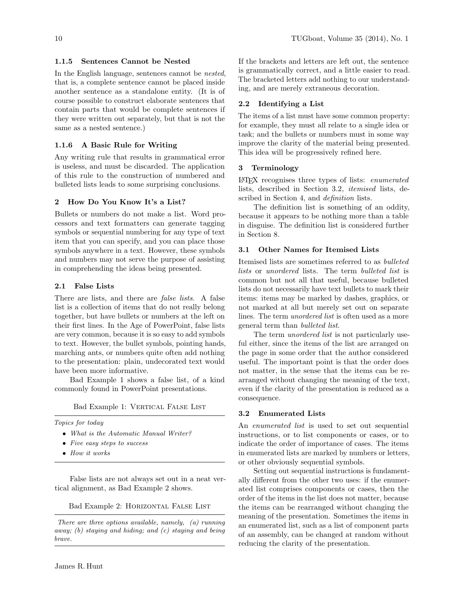# 1.1.5 Sentences Cannot be Nested

In the English language, sentences cannot be nested, that is, a complete sentence cannot be placed inside another sentence as a standalone entity. (It is of course possible to construct elaborate sentences that contain parts that would be complete sentences if they were written out separately, but that is not the same as a nested sentence.)

# 1.1.6 A Basic Rule for Writing

Any writing rule that results in grammatical error is useless, and must be discarded. The application of this rule to the construction of numbered and bulleted lists leads to some surprising conclusions.

# 2 How Do You Know It's a List?

Bullets or numbers do not make a list. Word processors and text formatters can generate tagging symbols or sequential numbering for any type of text item that you can specify, and you can place those symbols anywhere in a text. However, these symbols and numbers may not serve the purpose of assisting in comprehending the ideas being presented.

### 2.1 False Lists

There are lists, and there are *false lists*. A false list is a collection of items that do not really belong together, but have bullets or numbers at the left on their first lines. In the Age of PowerPoint, false lists are very common, because it is so easy to add symbols to text. However, the bullet symbols, pointing hands, marching ants, or numbers quite often add nothing to the presentation: plain, undecorated text would have been more informative.

Bad Example 1 shows a false list, of a kind commonly found in PowerPoint presentations.

Bad Example 1: VERTICAL FALSE LIST

Topics for today

- What is the Automatic Manual Writer?
- Five easy steps to success
- How it works

False lists are not always set out in a neat vertical alignment, as Bad Example 2 shows.

Bad Example 2: HORIZONTAL FALSE LIST

There are three options available, namely, (a) running away; (b) staying and hiding; and (c) staying and being brave.

If the brackets and letters are left out, the sentence is grammatically correct, and a little easier to read. The bracketed letters add nothing to our understanding, and are merely extraneous decoration.

## 2.2 Identifying a List

The items of a list must have some common property: for example, they must all relate to a single idea or task; and the bullets or numbers must in some way improve the clarity of the material being presented. This idea will be progressively refined here.

#### 3 Terminology

LATEX recognises three types of lists: enumerated lists, described in Section 3.2, itemised lists, described in Section 4, and *definition* lists.

The definition list is something of an oddity, because it appears to be nothing more than a table in disguise. The definition list is considered further in Section 8.

# 3.1 Other Names for Itemised Lists

Itemised lists are sometimes referred to as bulleted lists or unordered lists. The term bulleted list is common but not all that useful, because bulleted lists do not necessarily have text bullets to mark their items: items may be marked by dashes, graphics, or not marked at all but merely set out on separate lines. The term *unordered list* is often used as a more general term than bulleted list.

The term *unordered list* is not particularly useful either, since the items of the list are arranged on the page in some order that the author considered useful. The important point is that the order does not matter, in the sense that the items can be rearranged without changing the meaning of the text, even if the clarity of the presentation is reduced as a consequence.

#### 3.2 Enumerated Lists

An *enumerated list* is used to set out sequential instructions, or to list components or cases, or to indicate the order of importance of cases. The items in enumerated lists are marked by numbers or letters, or other obviously sequential symbols.

Setting out sequential instructions is fundamentally different from the other two uses: if the enumerated list comprises components or cases, then the order of the items in the list does not matter, because the items can be rearranged without changing the meaning of the presentation. Sometimes the items in an enumerated list, such as a list of component parts of an assembly, can be changed at random without reducing the clarity of the presentation.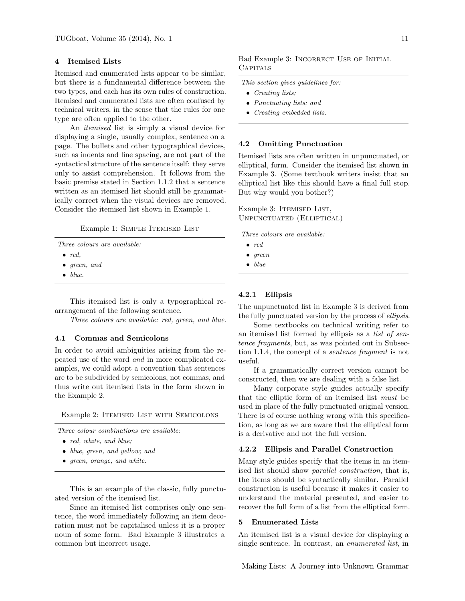# 4 Itemised Lists

Itemised and enumerated lists appear to be similar, but there is a fundamental difference between the two types, and each has its own rules of construction. Itemised and enumerated lists are often confused by technical writers, in the sense that the rules for one type are often applied to the other.

An itemised list is simply a visual device for displaying a single, usually complex, sentence on a page. The bullets and other typographical devices, such as indents and line spacing, are not part of the syntactical structure of the sentence itself: they serve only to assist comprehension. It follows from the basic premise stated in Section 1.1.2 that a sentence written as an itemised list should still be grammatically correct when the visual devices are removed. Consider the itemised list shown in Example 1.

Example 1: SIMPLE ITEMISED LIST

Three colours are available:

- $\bullet$  red,
- green, and
- $\bullet$  blue.

This itemised list is only a typographical rearrangement of the following sentence.

Three colours are available: red, green, and blue.

### 4.1 Commas and Semicolons

In order to avoid ambiguities arising from the repeated use of the word and in more complicated examples, we could adopt a convention that sentences are to be subdivided by semicolons, not commas, and thus write out itemised lists in the form shown in the Example 2.

Example 2: ITEMISED LIST WITH SEMICOLONS

Three colour combinations are available:

- red, white, and blue:
- blue, green, and yellow; and
- green, orange, and white.

This is an example of the classic, fully punctuated version of the itemised list.

Since an itemised list comprises only one sentence, the word immediately following an item decoration must not be capitalised unless it is a proper noun of some form. Bad Example 3 illustrates a common but incorrect usage.

# Bad Example 3: Incorrect Use of Initial **CAPITALS**

This section gives guidelines for:

- Creating lists;
- Punctuating lists; and
- Creating embedded lists.

#### 4.2 Omitting Punctuation

Itemised lists are often written in unpunctuated, or elliptical, form. Consider the itemised list shown in Example 3. (Some textbook writers insist that an elliptical list like this should have a final full stop. But why would you bother?)

Example 3: ITEMISED LIST, Unpunctuated (Elliptical)

Three colours are available:

- $\bullet$  red
- green
- $\bullet$  blue

### 4.2.1 Ellipsis

The unpunctuated list in Example 3 is derived from the fully punctuated version by the process of *ellipsis*.

Some textbooks on technical writing refer to an itemised list formed by ellipsis as a list of sentence fragments, but, as was pointed out in Subsection 1.1.4, the concept of a sentence fragment is not useful.

If a grammatically correct version cannot be constructed, then we are dealing with a false list.

Many corporate style guides actually specify that the elliptic form of an itemised list must be used in place of the fully punctuated original version. There is of course nothing wrong with this specification, as long as we are aware that the elliptical form is a derivative and not the full version.

### 4.2.2 Ellipsis and Parallel Construction

Many style guides specify that the items in an itemised list should show *parallel construction*, that is, the items should be syntactically similar. Parallel construction is useful because it makes it easier to understand the material presented, and easier to recover the full form of a list from the elliptical form.

## 5 Enumerated Lists

An itemised list is a visual device for displaying a single sentence. In contrast, an enumerated list, in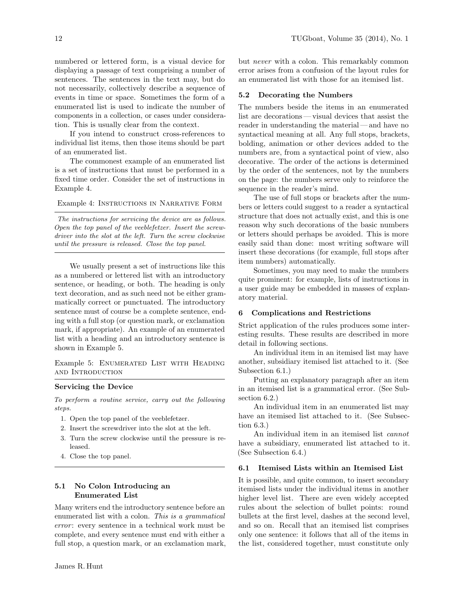numbered or lettered form, is a visual device for displaying a passage of text comprising a number of sentences. The sentences in the text may, but do not necessarily, collectively describe a sequence of events in time or space. Sometimes the form of a enumerated list is used to indicate the number of components in a collection, or cases under consideration. This is usually clear from the context.

If you intend to construct cross-references to individual list items, then those items should be part of an enumerated list.

The commonest example of an enumerated list is a set of instructions that must be performed in a fixed time order. Consider the set of instructions in Example 4.

Example 4: Instructions in Narrative Form

The instructions for servicing the device are as follows. Open the top panel of the veeblefetzer. Insert the screwdriver into the slot at the left. Turn the screw clockwise until the pressure is released. Close the top panel.

We usually present a set of instructions like this as a numbered or lettered list with an introductory sentence, or heading, or both. The heading is only text decoration, and as such need not be either grammatically correct or punctuated. The introductory sentence must of course be a complete sentence, ending with a full stop (or question mark, or exclamation mark, if appropriate). An example of an enumerated list with a heading and an introductory sentence is shown in Example 5.

Example 5: Enumerated List with Heading and Introduction

#### Servicing the Device

To perform a routine service, carry out the following steps.

- 1. Open the top panel of the veeblefetzer.
- 2. Insert the screwdriver into the slot at the left.
- 3. Turn the screw clockwise until the pressure is released.
- 4. Close the top panel.

# 5.1 No Colon Introducing an Enumerated List

Many writers end the introductory sentence before an enumerated list with a colon. This is a grammatical error: every sentence in a technical work must be complete, and every sentence must end with either a full stop, a question mark, or an exclamation mark, but never with a colon. This remarkably common error arises from a confusion of the layout rules for an enumerated list with those for an itemised list.

### 5.2 Decorating the Numbers

The numbers beside the items in an enumerated list are decorations— visual devices that assist the reader in understanding the material — and have no syntactical meaning at all. Any full stops, brackets, bolding, animation or other devices added to the numbers are, from a syntactical point of view, also decorative. The order of the actions is determined by the order of the sentences, not by the numbers on the page: the numbers serve only to reinforce the sequence in the reader's mind.

The use of full stops or brackets after the numbers or letters could suggest to a reader a syntactical structure that does not actually exist, and this is one reason why such decorations of the basic numbers or letters should perhaps be avoided. This is more easily said than done: most writing software will insert these decorations (for example, full stops after item numbers) automatically.

Sometimes, you may need to make the numbers quite prominent: for example, lists of instructions in a user guide may be embedded in masses of explanatory material.

### 6 Complications and Restrictions

Strict application of the rules produces some interesting results. These results are described in more detail in following sections.

An individual item in an itemised list may have another, subsidiary itemised list attached to it. (See Subsection 6.1.)

Putting an explanatory paragraph after an item in an itemised list is a grammatical error. (See Subsection 6.2.)

An individual item in an enumerated list may have an itemised list attached to it. (See Subsection 6.3.)

An individual item in an itemised list cannot have a subsidiary, enumerated list attached to it. (See Subsection 6.4.)

### 6.1 Itemised Lists within an Itemised List

It is possible, and quite common, to insert secondary itemised lists under the individual items in another higher level list. There are even widely accepted rules about the selection of bullet points: round bullets at the first level, dashes at the second level, and so on. Recall that an itemised list comprises only one sentence: it follows that all of the items in the list, considered together, must constitute only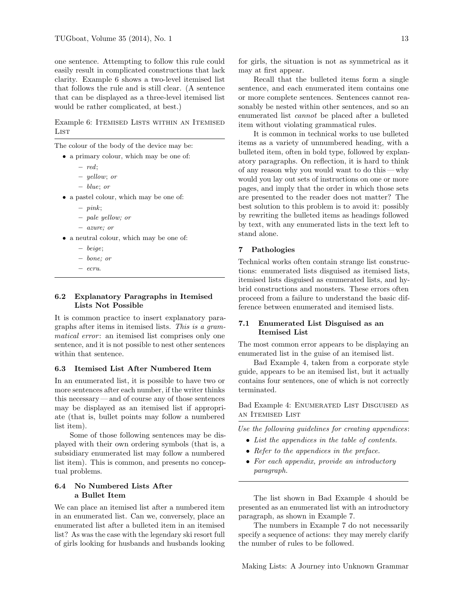one sentence. Attempting to follow this rule could easily result in complicated constructions that lack clarity. Example 6 shows a two-level itemised list that follows the rule and is still clear. (A sentence that can be displayed as a three-level itemised list would be rather complicated, at best.)

Example 6: ITEMISED LISTS WITHIN AN ITEMISED **LIST** 

The colour of the body of the device may be:

- a primary colour, which may be one of:
	- red;
	- yellow; or
	- blue; or
- a pastel colour, which may be one of:
	- $pink;$
	- pale yellow; or
	- azure; or
- a neutral colour, which may be one of:
	- beige;
	- bone; or
	- ecru.

# 6.2 Explanatory Paragraphs in Itemised Lists Not Possible

It is common practice to insert explanatory paragraphs after items in itemised lists. This is a gram*matical error*: an itemised list comprises only one sentence, and it is not possible to nest other sentences within that sentence.

# 6.3 Itemised List After Numbered Item

In an enumerated list, it is possible to have two or more sentences after each number, if the writer thinks this necessary — and of course any of those sentences may be displayed as an itemised list if appropriate (that is, bullet points may follow a numbered list item).

Some of those following sentences may be displayed with their own ordering symbols (that is, a subsidiary enumerated list may follow a numbered list item). This is common, and presents no conceptual problems.

# 6.4 No Numbered Lists After a Bullet Item

We can place an itemised list after a numbered item in an enumerated list. Can we, conversely, place an enumerated list after a bulleted item in an itemised list? As was the case with the legendary ski resort full of girls looking for husbands and husbands looking

for girls, the situation is not as symmetrical as it may at first appear.

Recall that the bulleted items form a single sentence, and each enumerated item contains one or more complete sentences. Sentences cannot reasonably be nested within other sentences, and so an enumerated list cannot be placed after a bulleted item without violating grammatical rules.

It is common in technical works to use bulleted items as a variety of unnumbered heading, with a bulleted item, often in bold type, followed by explanatory paragraphs. On reflection, it is hard to think of any reason why you would want to do this — why would you lay out sets of instructions on one or more pages, and imply that the order in which those sets are presented to the reader does not matter? The best solution to this problem is to avoid it: possibly by rewriting the bulleted items as headings followed by text, with any enumerated lists in the text left to stand alone.

# 7 Pathologies

Technical works often contain strange list constructions: enumerated lists disguised as itemised lists, itemised lists disguised as enumerated lists, and hybrid constructions and monsters. These errors often proceed from a failure to understand the basic difference between enumerated and itemised lists.

# 7.1 Enumerated List Disguised as an Itemised List

The most common error appears to be displaying an enumerated list in the guise of an itemised list.

Bad Example 4, taken from a corporate style guide, appears to be an itemised list, but it actually contains four sentences, one of which is not correctly terminated.

Bad Example 4: Enumerated List Disguised as an Itemised List

Use the following guidelines for creating appendices:

- List the appendices in the table of contents.
- Refer to the appendices in the preface.
- For each appendix, provide an introductory paragraph.

The list shown in Bad Example 4 should be presented as an enumerated list with an introductory paragraph, as shown in Example 7.

The numbers in Example 7 do not necessarily specify a sequence of actions: they may merely clarify the number of rules to be followed.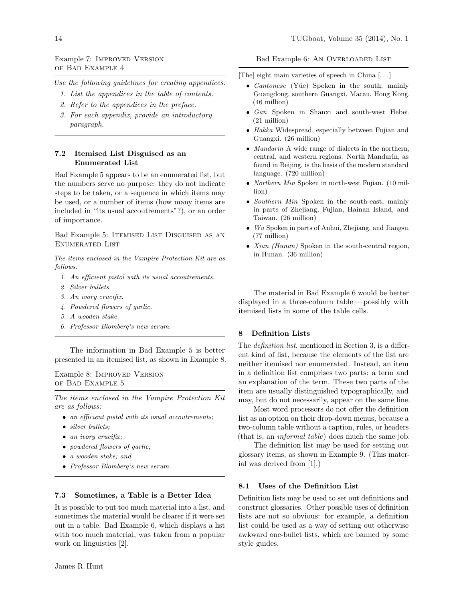# Example 7: Improved Version of Bad Example 4

Use the following guidelines for creating appendices.

- 1. List the appendices in the table of contents.
- 2. Refer to the appendices in the preface.
- 3. For each appendix, provide an introductory paragraph.

# 7.2 Itemised List Disguised as an Enumerated List

Bad Example 5 appears to be an enumerated list, but the numbers serve no purpose: they do not indicate steps to be taken, or a sequence in which items may be used, or a number of items (how many items are included in "its usual accoutrements"?), or an order of importance.

Bad Example 5: ITEMISED LIST DISGUISED AS AN Enumerated List

The items enclosed in the Vampire Protection Kit are as follows.

- 1. An efficient pistol with its usual accoutrements.
- 2. Silver bullets.
- 3. An ivory crucifix.
- 4. Powdered flowers of garlic.
- 5. A wooden stake.
- 6. Professor Blomberg's new serum.

The information in Bad Example 5 is better presented in an itemised list, as shown in Example 8.

Example 8: Improved Version of Bad Example 5

The items enclosed in the Vampire Protection Kit are as follows:

- an efficient pistol with its usual accoutrements;
- silver bullets;
- an ivory crucifix;
- powdered flowers of garlic;
- a wooden stake; and
- Professor Blomberg's new serum.

## 7.3 Sometimes, a Table is a Better Idea

It is possible to put too much material into a list, and sometimes the material would be clearer if it were set out in a table. Bad Example 6, which displays a list with too much material, was taken from a popular work on linguistics [2].

[The] eight main varieties of speech in China [. . . ]

- *Cantonese* (Yue) Spoken in the south, mainly Guangdong, southern Guangxi, Macau, Hong Kong. (46 million)
- Gan Spoken in Shanxi and south-west Hebei. (21 million)
- Hakka Widespread, especially between Fujian and Guangxi. (26 million)
- *Mandarin* A wide range of dialects in the northern, central, and western regions. North Mandarin, as found in Beijing, is the basis of the modern standard language. (720 million)
- Northern Min Spoken in north-west Fujian. (10 million)
- Southern Min Spoken in the south-east, mainly in parts of Zhejiang, Fujian, Hainan Island, and Taiwan. (26 million)
- Wu Spoken in parts of Anhui, Zhejiang, and Jiangsu. (77 million)
- *Xian (Hunan)* Spoken in the south-central region, in Hunan. (36 million)

The material in Bad Example 6 would be better displayed in a three-column table— possibly with itemised lists in some of the table cells.

# 8 Definition Lists

The definition list, mentioned in Section 3, is a different kind of list, because the elements of the list are neither itemised nor enumerated. Instead, an item in a definition list comprises two parts: a term and an explanation of the term. These two parts of the item are usually distinguished typographically, and may, but do not necessarily, appear on the same line.

Most word processors do not offer the definition list as an option on their drop-down menus, because a two-column table without a caption, rules, or headers (that is, an informal table) does much the same job.

The definition list may be used for setting out glossary items, as shown in Example 9. (This material was derived from [1].)

### 8.1 Uses of the Definition List

Definition lists may be used to set out definitions and construct glossaries. Other possible uses of definition lists are not so obvious: for example, a definition list could be used as a way of setting out otherwise awkward one-bullet lists, which are banned by some style guides.